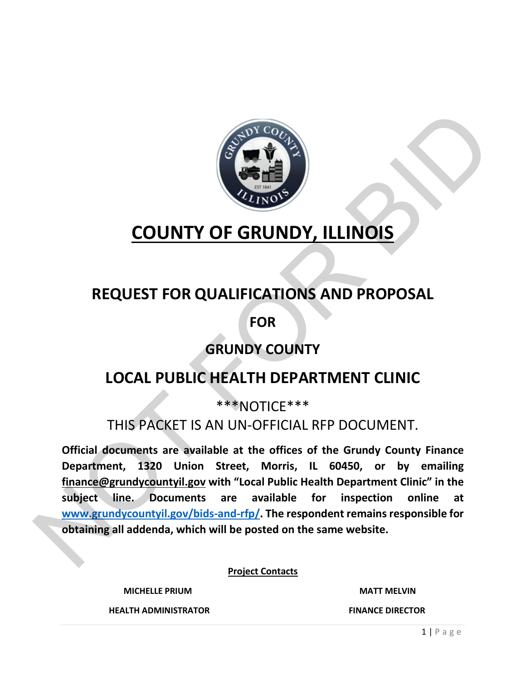

# **COUNTY OF GRUNDY, ILLINOIS**

# **REQUEST FOR QUALIFICATIONS AND PROPOSAL**

**FOR**

# **GRUNDY COUNTY**

# **LOCAL PUBLIC HEALTH DEPARTMENT CLINIC**

\*\*\*NOTICE\*\*\*

## THIS PACKET IS AN UN-OFFICIAL RFP DOCUMENT.

**Official documents are available at the offices of the Grundy County Finance Department, 1320 Union Street, Morris, IL 60450, or by emailing finance@grundycountyil.gov with "Local Public Health Department Clinic" in the subject line. Documents are available for inspection online at www.grundycountyil.gov/bids-and-rfp/. The respondent remains responsible for obtaining all addenda, which will be posted on the same website.** COUNTY OF GRUNDY, ILLI[NO](http://www.grundycountyil.gov/bids-and-rfp/)IS<br>
REQUEST FOR QUALIFICATIONS AND PROPOSAL<br>
FOR<br>
GRUNDY COUNTY<br>
IOCAL PUBLIC HEALTH DEPARTMENT CLINIC<br>
THIS PACKET IS AN UN-OFFICIAL RFP DOCUMENT.<br>
THIS PACKET IS AN UN-OFFICIAL RFP DOCUMENT.<br>
Offi

**Project Contacts**

**MICHELLE PRIUM MATT MELVIN**

 **HEALTH ADMINISTRATOR FINANCE DIRECTOR**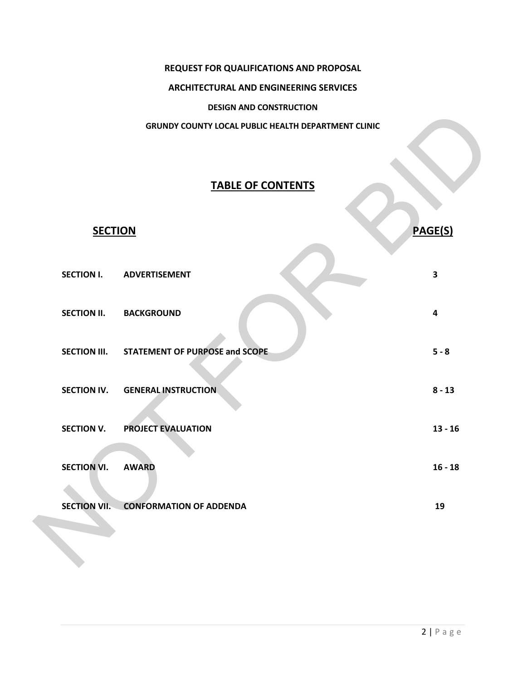#### **REQUEST FOR QUALIFICATIONS AND PROPOSAL**

#### **ARCHITECTURAL AND ENGINEERING SERVICES**

#### **DESIGN AND CONSTRUCTION**

#### **GRUNDY COUNTY LOCAL PUBLIC HEALTH DEPARTMENT CLINIC**

### **TABLE OF CONTENTS**

|                     | <b>DESIGN AND CONSTRUCTION</b>                      |                         |
|---------------------|-----------------------------------------------------|-------------------------|
|                     | GRUNDY COUNTY LOCAL PUBLIC HEALTH DEPARTMENT CLINIC |                         |
|                     | <b>TABLE OF CONTENTS</b>                            |                         |
| <b>SECTION</b>      |                                                     | <b>PAGE(S)</b>          |
| <b>SECTION I.</b>   | <b>ADVERTISEMENT</b>                                | $\overline{\mathbf{3}}$ |
| <b>SECTION II.</b>  | <b>BACKGROUND</b>                                   | $\overline{\mathbf{4}}$ |
|                     | SECTION III. STATEMENT OF PURPOSE and SCOPE         | $5 - 8$                 |
| <b>SECTION IV.</b>  | <b>GENERAL INSTRUCTION</b>                          | $8 - 13$                |
| <b>SECTION V.</b>   | PROJECT EVALUATION                                  | $13 - 16$               |
| <b>SECTION VI.</b>  | <b>AWARD</b>                                        | $16 - 18$               |
| <b>SECTION VII.</b> | <b>CONFORMATION OF ADDENDA</b>                      | 19                      |
|                     |                                                     |                         |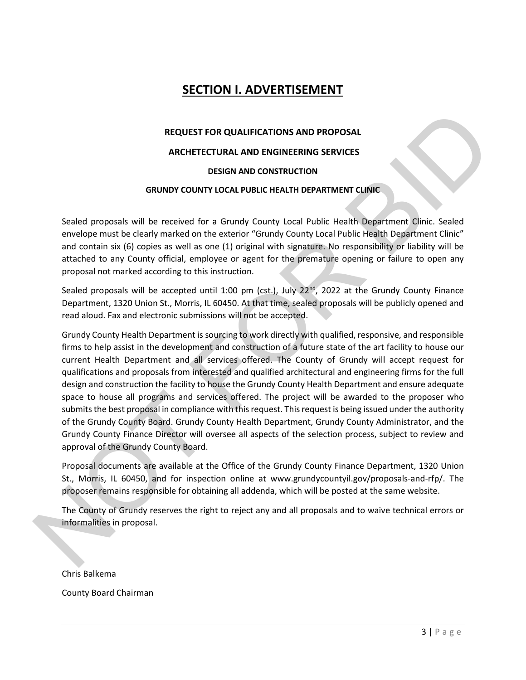### **SECTION I. ADVERTISEMENT**

# **REQUEST FOR QUALIFICATIONS AND PROPOSAL ARCHETECTURAL AND ENGINEERING SERVICES DESIGN AND CONSTRUCTION**

#### **GRUNDY COUNTY LOCAL PUBLIC HEALTH DEPARTMENT CLINIC**

Sealed proposals will be received for a Grundy County Local Public Health Department Clinic. Sealed envelope must be clearly marked on the exterior "Grundy County Local Public Health Department Clinic" and contain six (6) copies as well as one (1) original with signature. No responsibility or liability will be attached to any County official, employee or agent for the premature opening or failure to open any proposal not marked according to this instruction.

Sealed proposals will be accepted until 1:00 pm (cst.), July  $22<sup>nd</sup>$ , 2022 at the Grundy County Finance Department, 1320 Union St., Morris, IL 60450. At that time, sealed proposals will be publicly opened and read aloud. Fax and electronic submissions will not be accepted.

Grundy County Health Department is sourcing to work directly with qualified, responsive, and responsible firms to help assist in the development and construction of a future state of the art facility to house our current Health Department and all services offered. The County of Grundy will accept request for qualifications and proposals from interested and qualified architectural and engineering firms for the full design and construction the facility to house the Grundy County Health Department and ensure adequate space to house all programs and services offered. The project will be awarded to the proposer who submits the best proposal in compliance with this request. This request is being issued under the authority of the Grundy County Board. Grundy County Health Department, Grundy County Administrator, and the Grundy County Finance Director will oversee all aspects of the selection process, subject to review and approval of the Grundy County Board. REQUEST FOR QUALIFICATIONS AND PROPOSAL<br>
ARCHETECTURAL AND ENGINEERING SERVICES<br>
DESIGN AND CONSTRUCTION<br>
GRIUNDY COUNTY LOCAL PUBLIC HEALTH DEPARTMENT CLINIC<br>
Scaled proposals will be received for a Grundy County Local Pu

Proposal documents are available at the Office of the Grundy County Finance Department, 1320 Union St., Morris, IL 60450, and for inspection online at www.grundycountyil.gov/proposals-and-rfp/. The proposer remains responsible for obtaining all addenda, which will be posted at the same website.

The County of Grundy reserves the right to reject any and all proposals and to waive technical errors or informalities in proposal.

Chris Balkema

County Board Chairman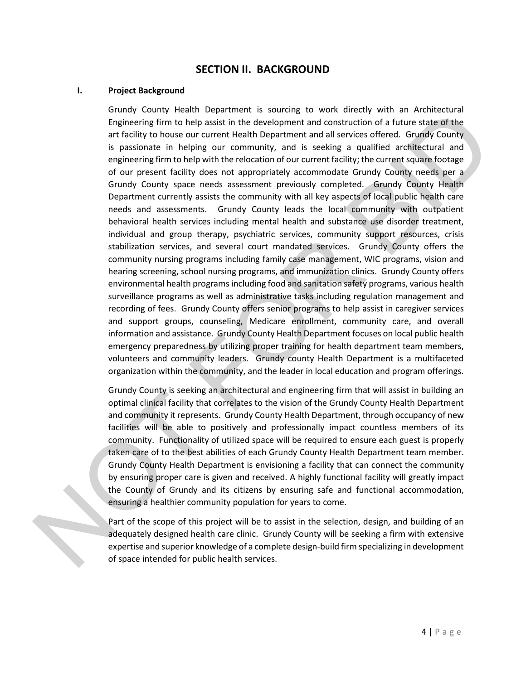#### **SECTION II. BACKGROUND**

#### **I. Project Background**

Grundy County Health Department is sourcing to work directly with an Architectural Engineering firm to help assist in the development and construction of a future state of the art facility to house our current Health Department and all services offered. Grundy County is passionate in helping our community, and is seeking a qualified architectural and engineering firm to help with the relocation of our current facility; the current square footage of our present facility does not appropriately accommodate Grundy County needs per a Grundy County space needs assessment previously completed. Grundy County Health Department currently assists the community with all key aspects of local public health care needs and assessments. Grundy County leads the local community with outpatient behavioral health services including mental health and substance use disorder treatment, individual and group therapy, psychiatric services, community support resources, crisis stabilization services, and several court mandated services. Grundy County offers the community nursing programs including family case management, WIC programs, vision and hearing screening, school nursing programs, and immunization clinics. Grundy County offers environmental health programsincluding food and sanitation safety programs, various health surveillance programs as well as administrative tasks including regulation management and recording of fees. Grundy County offers senior programs to help assist in caregiver services and support groups, counseling, Medicare enrollment, community care, and overall information and assistance. Grundy County Health Department focuses on local public health emergency preparedness by utilizing proper training for health department team members, volunteers and community leaders. Grundy county Health Department is a multifaceted organization within the community, and the leader in local education and program offerings. Ith Department is sourcing to work directly with an Architectural<br>ele) assis in the development and construction of a future state of the<br>eur current Health Department and onlistruction of a future state of the<br>pur current

Grundy County is seeking an architectural and engineering firm that will assist in building an optimal clinical facility that correlates to the vision of the Grundy County Health Department and community it represents. Grundy County Health Department, through occupancy of new facilities will be able to positively and professionally impact countless members of its community. Functionality of utilized space will be required to ensure each guest is properly taken care of to the best abilities of each Grundy County Health Department team member. Grundy County Health Department is envisioning a facility that can connect the community by ensuring proper care is given and received. A highly functional facility will greatly impact the County of Grundy and its citizens by ensuring safe and functional accommodation, ensuring a healthier community population for years to come. Grundy County is seeking an arc<br>
optimal clinical facility that corre<br>
and community it represents. G<br>
facilities will be able to posit<br>
community. Functionality of ut<br>
taken care of to the best abilitie<br>
Grundy County Hea

Part of the scope of this project will be to assist in the selection, design, and building of an adequately designed health care clinic. Grundy County will be seeking a firm with extensive expertise and superior knowledge of a complete design-build firm specializing in development of space intended for public health services.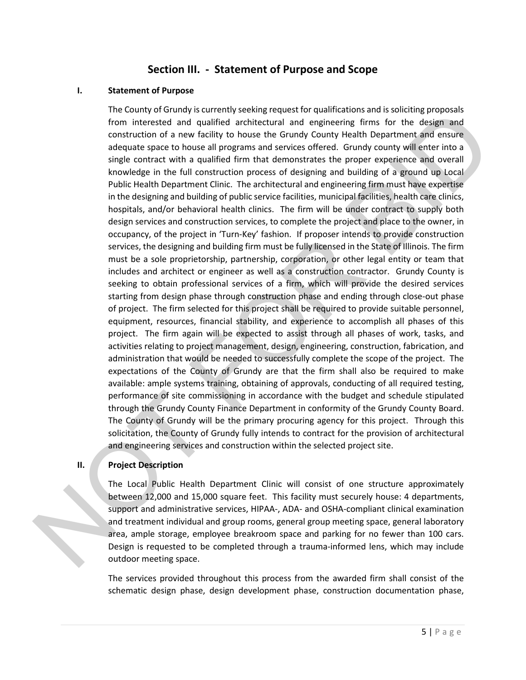#### **Section III. - Statement of Purpose and Scope**

#### **I. Statement of Purpose**

The County of Grundy is currently seeking request for qualifications and is soliciting proposals from interested and qualified architectural and engineering firms for the design and construction of a new facility to house the Grundy County Health Department and ensure adequate space to house all programs and services offered. Grundy county will enter into a single contract with a qualified firm that demonstrates the proper experience and overall knowledge in the full construction process of designing and building of a ground up Local Public Health Department Clinic. The architectural and engineering firm must have expertise in the designing and building of public service facilities, municipal facilities, health care clinics, hospitals, and/or behavioral health clinics. The firm will be under contract to supply both design services and construction services, to complete the project and place to the owner, in occupancy, of the project in 'Turn-Key' fashion. If proposer intends to provide construction services, the designing and building firm must be fully licensed in the State of Illinois. The firm must be a sole proprietorship, partnership, corporation, or other legal entity or team that includes and architect or engineer as well as a construction contractor. Grundy County is seeking to obtain professional services of a firm, which will provide the desired services starting from design phase through construction phase and ending through close-out phase of project. The firm selected for this project shall be required to provide suitable personnel, equipment, resources, financial stability, and experience to accomplish all phases of this project. The firm again will be expected to assist through all phases of work, tasks, and activities relating to project management, design, engineering, construction, fabrication, and administration that would be needed to successfully complete the scope of the project. The expectations of the County of Grundy are that the firm shall also be required to make available: ample systems training, obtaining of approvals, conducting of all required testing, performance of site commissioning in accordance with the budget and schedule stipulated through the Grundy County Finance Department in conformity of the Grundy County Board. The County of Grundy will be the primary procuring agency for this project. Through this solicitation, the County of Grundy fully intends to contract for the provision of architectural and engineering services and construction within the selected project site. y is currently seeking request for qualifications and is solicting proposals<br>and qualified architectural and engineering firms for the design and<br>a validibly to house the Grundy County Health Department and ensure<br>ouse all

#### **II. Project Description**

The Local Public Health Department Clinic will consist of one structure approximately between 12,000 and 15,000 square feet. This facility must securely house: 4 departments, support and administrative services, HIPAA-, ADA- and OSHA-compliant clinical examination and treatment individual and group rooms, general group meeting space, general laboratory area, ample storage, employee breakroom space and parking for no fewer than 100 cars. Design is requested to be completed through a trauma-informed lens, which may include outdoor meeting space. performance of site commission<br>through the Grundy County Fina<br>The County of Grundy will be t<br>solicitation, the County of Grun<br>and engineering services and co<br>**II.** Project Description<br>The Local Public Health Depa<br>between 1

> The services provided throughout this process from the awarded firm shall consist of the schematic design phase, design development phase, construction documentation phase,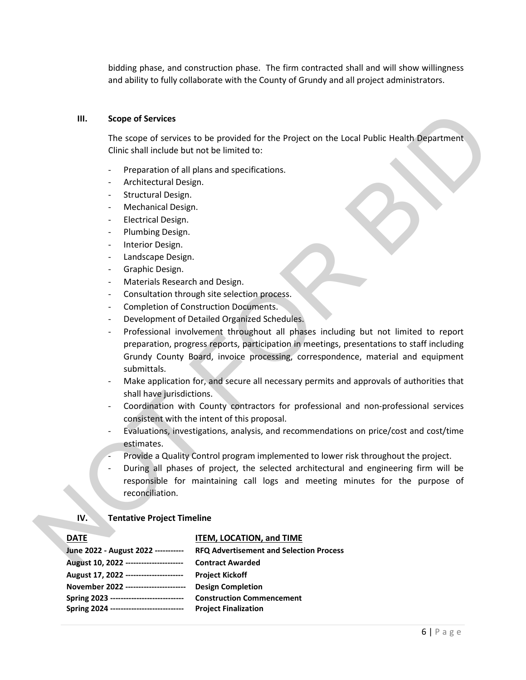bidding phase, and construction phase. The firm contracted shall and will show willingness and ability to fully collaborate with the County of Grundy and all project administrators.

#### **III. Scope of Services**

The scope of services to be provided for the Project on the Local Public Health Department Clinic shall include but not be limited to:

- Preparation of all plans and specifications.
- Architectural Design.
- Structural Design.
- Mechanical Design.
- Electrical Design.
- Plumbing Design.
- Interior Design.
- Landscape Design.
- Graphic Design.
- Materials Research and Design.
- Consultation through site selection process.
- Completion of Construction Documents.
- Development of Detailed Organized Schedules.
- Professional involvement throughout all phases including but not limited to report preparation, progress reports, participation in meetings, presentations to staff including Grundy County Board, invoice processing, correspondence, material and equipment submittals. III. Scope of Services to be provided for the Project on the Local Public Health Department<br>
Clinic shall include but not be limited to:<br>
Preparation of all plans and specifications.<br>
Architectrical Design.<br>
Structure Desi
	- Make application for, and secure all necessary permits and approvals of authorities that shall have jurisdictions.
	- Coordination with County contractors for professional and non-professional services consistent with the intent of this proposal.
	- Evaluations, investigations, analysis, and recommendations on price/cost and cost/time estimates.
	- Provide a Quality Control program implemented to lower risk throughout the project.
	- During all phases of project, the selected architectural and engineering firm will be responsible for maintaining call logs and meeting minutes for the purpose of reconciliation.

#### **IV. Tentative Project Timeline**

#### **DATE ITEM, LOCATION, and TIME**

| June 2022 - August 2022 -----------      | <b>RFQ Advertisement and Selection Process</b> |
|------------------------------------------|------------------------------------------------|
| August 10, 2022 ----------------------   | <b>Contract Awarded</b>                        |
| August 17, 2022 ----------------------   | <b>Project Kickoff</b>                         |
| November 2022 -----------------------    | <b>Design Completion</b>                       |
| Spring 2023 ---------------------------- | <b>Construction Commencement</b>               |
| Spring 2024 ---------------------------- | <b>Project Finalization</b>                    |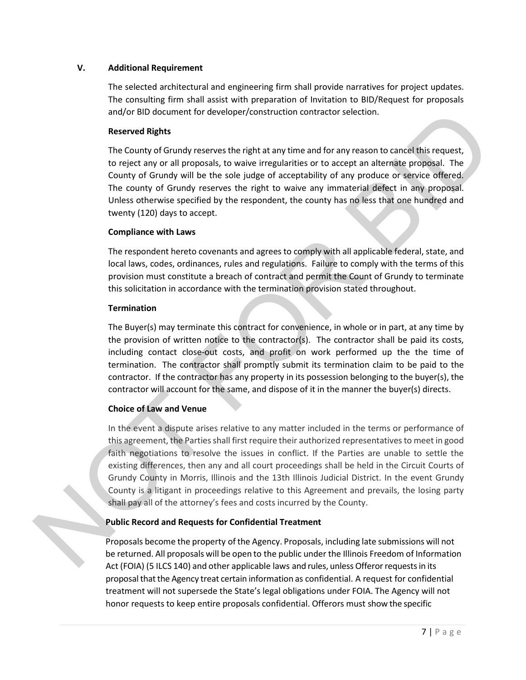#### **V. Additional Requirement**

The selected architectural and engineering firm shall provide narratives for project updates. The consulting firm shall assist with preparation of Invitation to BID/Request for proposals and/or BID document for developer/construction contractor selection.

#### **Reserved Rights**

The County of Grundy reserves the right at any time and for any reason to cancel this request, to reject any or all proposals, to waive irregularities or to accept an alternate proposal. The County of Grundy will be the sole judge of acceptability of any produce or service offered. The county of Grundy reserves the right to waive any immaterial defect in any proposal. Unless otherwise specified by the respondent, the county has no less that one hundred and twenty (120) days to accept.

#### **Compliance with Laws**

The respondent hereto covenants and agrees to comply with all applicable federal, state, and local laws, codes, ordinances, rules and regulations. Failure to comply with the terms of this provision must constitute a breach of contract and permit the Count of Grundy to terminate this solicitation in accordance with the termination provision stated throughout.

#### **Termination**

The Buyer(s) may terminate this contract for convenience, in whole or in part, at any time by the provision of written notice to the contractor(s). The contractor shall be paid its costs, including contact close-out costs, and profit on work performed up the the time of termination. The contractor shall promptly submit its termination claim to be paid to the contractor. If the contractor has any property in its possession belonging to the buyer(s), the contractor will account for the same, and dispose of it in the manner the buyer(s) directs.

#### **Choice of Law and Venue**

In the event a dispute arises relative to any matter included in the terms or performance of this agreement, the Parties shall first require their authorized representatives to meet in good faith negotiations to resolve the issues in conflict. If the Parties are unable to settle the existing differences, then any and all court proceedings shall be held in the Circuit Courts of Grundy County in Morris, Illinois and the 13th Illinois Judicial District. In the event Grundy County is a litigant in proceedings relative to this Agreement and prevails, the losing party shall pay all of the attorney's fees and costs incurred by the County. and/or BID document for developer/construction contractor selection.<br>
Reserved Mghts<br>
The Country of Grundy reserves the right at any time and for any reason to cancel this request,<br>
the Country of Grundy will be the sole

#### **Public Record and Requests for Confidential Treatment**

Proposals become the property of the Agency. Proposals, including late submissions will not be returned. All proposals will be open to the public under the Illinois Freedom of Information Act (FOIA) (5 ILCS 140) and other applicable laws and rules, unless Offeror requests in its proposalthatthe Agency treat certain information as confidential. A request for confidential treatment will not supersede the State's legal obligations under FOIA. The Agency will not honor requests to keep entire proposals confidential. Offerors must show the specific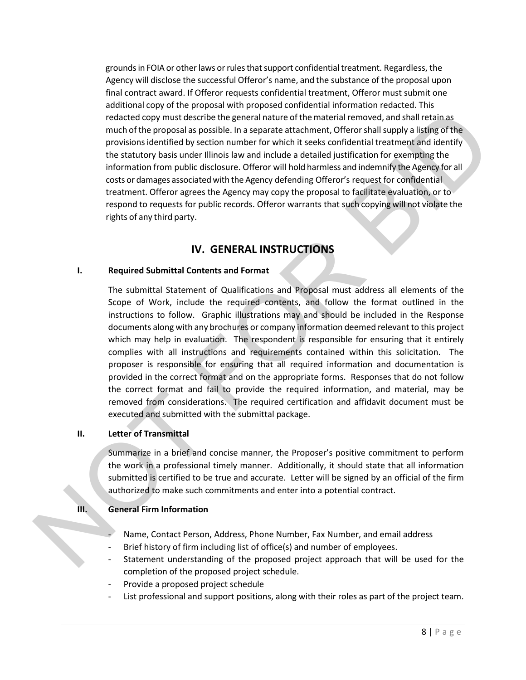grounds in FOIA or other laws or rules that support confidential treatment. Regardless, the Agency will disclose the successful Offeror's name, and the substance of the proposal upon final contract award. If Offeror requests confidential treatment, Offeror must submit one additional copy of the proposal with proposed confidential information redacted. This redacted copy must describe the general nature of the material removed, and shall retain as much of the proposal as possible. In a separate attachment, Offerorshallsupply a listing of the provisionsidentified by section number for which it seeks confidential treatment and identify the statutory basis under Illinois law and include a detailed justification for exempting the information from public disclosure. Offeror will hold harmless and indemnify the Agency for all costs or damages associated with the Agency defending Offeror's request for confidential treatment. Offeror agrees the Agency may copy the proposal to facilitate evaluation, or to respond to requests for public records. Offeror warrants that such copying will not violate the rights of any third party.

### **IV. GENERAL INSTRUCTIONS**

#### **I. Required Submittal Contents and Format**

The submittal Statement of Qualifications and Proposal must address all elements of the Scope of Work, include the required contents, and follow the format outlined in the instructions to follow. Graphic illustrations may and should be included in the Response documents along with any brochures or company information deemed relevant to this project which may help in evaluation. The respondent is responsible for ensuring that it entirely complies with all instructions and requirements contained within this solicitation. The proposer is responsible for ensuring that all required information and documentation is provided in the correct format and on the appropriate forms. Responses that do not follow the correct format and fail to provide the required information, and material, may be removed from considerations. The required certification and affidavit document must be executed and submitted with the submittal package. escribe the general nature of the material removed, and shall retain as<br>so possible. In a separate attachment, Offeror shall supply a listing of the<br>y section number for which it seeks confidential treatment and identify<br>d

#### **II. Letter of Transmittal**

Summarize in a brief and concise manner, the Proposer's positive commitment to perform the work in a professional timely manner. Additionally, it should state that all information submitted is certified to be true and accurate. Letter will be signed by an official of the firm authorized to make such commitments and enter into a potential contract. The correct format and fant to<br>removed from considerations.<br>Executed and submitted with th<br>II. Letter of Transmittal<br>Summarize in a brief and conci-<br>the work in a professional time<br>submitted is certified to be true<br>authori

#### **III. General Firm Information**

- Name, Contact Person, Address, Phone Number, Fax Number, and email address
- Brief history of firm including list of office(s) and number of employees.
- Statement understanding of the proposed project approach that will be used for the completion of the proposed project schedule.
- Provide a proposed project schedule
- List professional and support positions, along with their roles as part of the project team.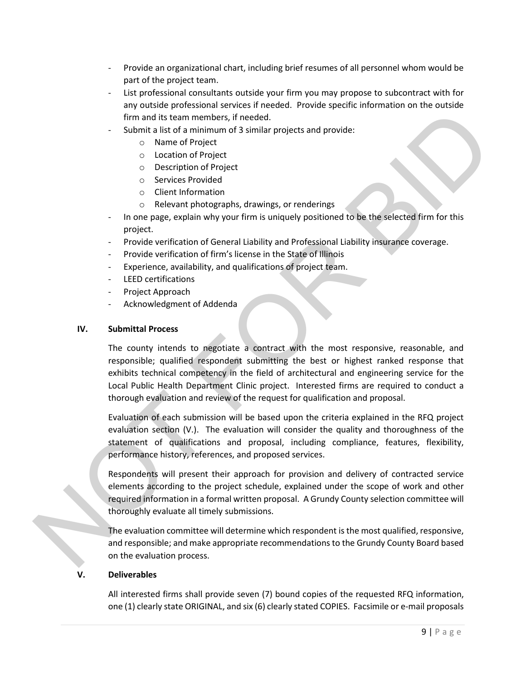- Provide an organizational chart, including brief resumes of all personnel whom would be part of the project team.
- List professional consultants outside your firm you may propose to subcontract with for any outside professional services if needed. Provide specific information on the outside firm and its team members, if needed.
- Submit a list of a minimum of 3 similar projects and provide:
	- o Name of Project
	- o Location of Project
	- o Description of Project
	- o Services Provided
	- o Client Information
	- o Relevant photographs, drawings, or renderings
- In one page, explain why your firm is uniquely positioned to be the selected firm for this project.
- Provide verification of General Liability and Professional Liability insurance coverage.
- Provide verification of firm's license in the State of Illinois
- Experience, availability, and qualifications of project team.
- LEED certifications
- Project Approach
- Acknowledgment of Addenda

#### **IV. Submittal Process**

The county intends to negotiate a contract with the most responsive, reasonable, and responsible; qualified respondent submitting the best or highest ranked response that exhibits technical competency in the field of architectural and engineering service for the Local Public Health Department Clinic project. Interested firms are required to conduct a thorough evaluation and review of the request for qualification and proposal. Three in an interbala to a members, it needed.<br>
Submit a list of a minimum of 3 similar projects and provide:<br>
Submood frequency of the project and provide:<br>
Description of Project<br>
Submoother of the project<br>
Submoother of

Evaluation of each submission will be based upon the criteria explained in the RFQ project evaluation section (V.). The evaluation will consider the quality and thoroughness of the statement of qualifications and proposal, including compliance, features, flexibility, performance history, references, and proposed services.

Respondents will present their approach for provision and delivery of contracted service elements according to the project schedule, explained under the scope of work and other required information in a formal written proposal. A Grundy County selection committee will thoroughly evaluate all timely submissions.

The evaluation committee will determine which respondent is the most qualified, responsive, and responsible; and make appropriate recommendations to the Grundy County Board based on the evaluation process.

#### **V. Deliverables**

All interested firms shall provide seven (7) bound copies of the requested RFQ information, one (1) clearly state ORIGINAL, and six (6) clearly stated COPIES. Facsimile or e-mail proposals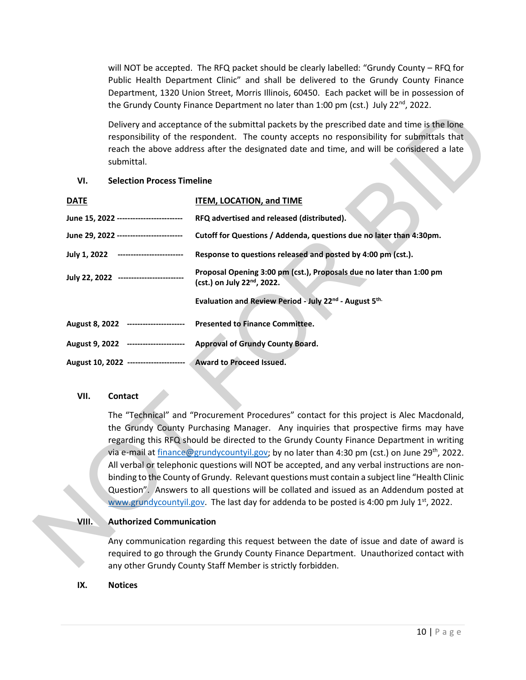will NOT be accepted. The RFQ packet should be clearly labelled: "Grundy County – RFQ for Public Health Department Clinic" and shall be delivered to the Grundy County Finance Department, 1320 Union Street, Morris Illinois, 60450. Each packet will be in possession of the Grundy County Finance Department no later than 1:00 pm (cst.) July 22<sup>nd</sup>, 2022.

#### **VI. Selection Process Timeline**

|             | submittal.                              | Delivery and acceptance of the submittal packets by the prescribed date and time is the lone<br>responsibility of the respondent. The county accepts no responsibility for submittals that<br>reach the above address after the designated date and time, and will be considered a late |
|-------------|-----------------------------------------|-----------------------------------------------------------------------------------------------------------------------------------------------------------------------------------------------------------------------------------------------------------------------------------------|
| VI.         | <b>Selection Process Timeline</b>       |                                                                                                                                                                                                                                                                                         |
| <b>DATE</b> |                                         | <b>ITEM, LOCATION, and TIME</b>                                                                                                                                                                                                                                                         |
|             | June 15, 2022 ------------------------- | RFQ advertised and released (distributed).                                                                                                                                                                                                                                              |
|             | June 29, 2022 ------------------------- | Cutoff for Questions / Addenda, questions due no later than 4:30pm.                                                                                                                                                                                                                     |
|             | July 1, 2022 -------------------------  | Response to questions released and posted by 4:00 pm (cst.).                                                                                                                                                                                                                            |
|             | July 22, 2022 ------------------------- | Proposal Opening 3:00 pm (cst.), Proposals due no later than 1:00 pm<br>(cst.) on July 22 <sup>nd</sup> , 2022.                                                                                                                                                                         |
|             |                                         | Evaluation and Review Period - July 22nd - August 5th.                                                                                                                                                                                                                                  |
|             | August 8, 2022 ----------------------   | <b>Presented to Finance Committee.</b>                                                                                                                                                                                                                                                  |
|             | August 9, 2022 ----------------------   | <b>Approval of Grundy County Board.</b>                                                                                                                                                                                                                                                 |
|             |                                         | August 10, 2022 ---------------------- Award to Proceed Issued.                                                                                                                                                                                                                         |
| VII.        | <b>Contact</b>                          |                                                                                                                                                                                                                                                                                         |

#### **VII. Contact**

The "Technical" and "Procurement Procedures" contact for this project is Alec Macdonald, the Grundy County Purchasing Manager. Any inquiries that prospective firms may have regarding this RFQ should be directed to the Grundy County Finance Department in writing via e-mail at [finance@grundycountyil.gov;](mailto:finance@grundycountyil.gov) by no later than 4:30 pm (cst.) on June 29<sup>th</sup>, 2022. All verbal or telephonic questions will NOT be accepted, and any verbal instructions are nonbinding to the County of Grundy. Relevant questions must contain a subject line "Health Clinic Question". Answers to all questions will be collated and issued as an Addendum posted at www.grundycountyil.gov. The last day for addenda to be posted is 4:00 pm July  $1<sup>st</sup>$ , 2022. VII. Contact<br>
The "Technical" and "Procurement Procedures" contact for<br>
the Grundy County Purchasing Manager. Any inquiries the<br>
regarding this RFQ should be directed to the Grundy County<br>
via e-mail at <u>finance@grundycoun</u>

#### **VIII. Authorized Communication**

Any communication regarding this request between the date of issue and date of award is required to go through the Grundy County Finance Department. Unauthorized contact with

#### **IX. Notices**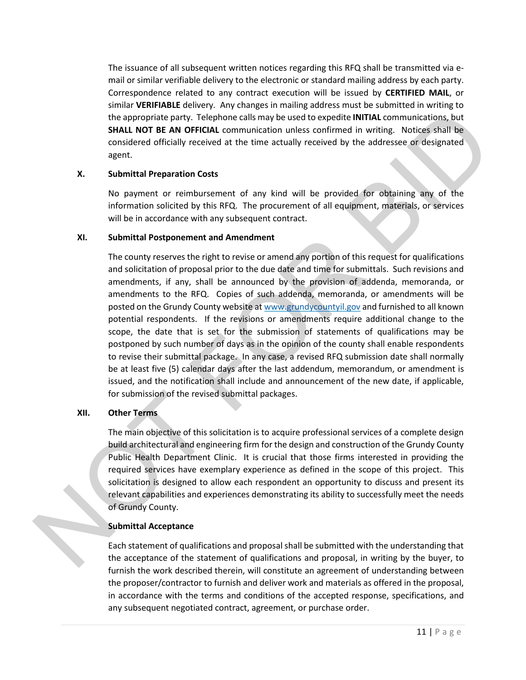The issuance of all subsequent written notices regarding this RFQ shall be transmitted via email or similar verifiable delivery to the electronic or standard mailing address by each party. Correspondence related to any contract execution will be issued by **CERTIFIED MAIL**, or similar **VERIFIABLE** delivery. Any changes in mailing address must be submitted in writing to the appropriate party. Telephone calls may be used to expedite **INITIAL** communications, but **SHALL NOT BE AN OFFICIAL** communication unless confirmed in writing. Notices shall be considered officially received at the time actually received by the addressee or designated agent.

#### **X. Submittal Preparation Costs**

No payment or reimbursement of any kind will be provided for obtaining any of the information solicited by this RFQ. The procurement of all equipment, materials, or services will be in accordance with any subsequent contract.

#### **XI. Submittal Postponement and Amendment**

The county reserves the right to revise or amend any portion of this request for qualifications and solicitation of proposal prior to the due date and time for submittals. Such revisions and amendments, if any, shall be announced by the provision of addenda, memoranda, or amendments to the RFQ. Copies of such addenda, memoranda, or amendments will be posted on the Grundy County website at www.grundycountyil.gov and furnished to all known potential respondents. If the revisions or amendments require additional change to the scope, the date that is set for the submission of statements of qualifications may be postponed by such number of days as in the opinion of the county shall enable respondents to revise their submittal package. In any case, a revised RFQ submission date shall normally be at least five (5) calendar days after the last addendum, memorandum, or amendment is issued, and the notification shall include and announcement of the new date, if applicable, for submission of the revised submittal packages. the appropriate party. The intertwine ratio may be used to expedite in Witter Commuticalism. Studies the studies the studies that the acceptance of the studies and propriate control control and the studies of the studies o

#### **XII. Other Terms**

The main objective of this solicitation is to acquire professional services of a complete design build architectural and engineering firm for the design and construction of the Grundy County Public Health Department Clinic. It is crucial that those firms interested in providing the required services have exemplary experience as defined in the scope of this project. This solicitation is designed to allow each respondent an opportunity to discuss and present its relevant capabilities and experiences demonstrating its ability to successfully meet the needs of Grundy County.

#### **Submittal Acceptance**

Each statement of qualifications and proposal shall be submitted with the understanding that the acceptance of the statement of qualifications and proposal, in writing by the buyer, to furnish the work described therein, will constitute an agreement of understanding between the proposer/contractor to furnish and deliver work and materials as offered in the proposal, in accordance with the terms and conditions of the accepted response, specifications, and any subsequent negotiated contract, agreement, or purchase order.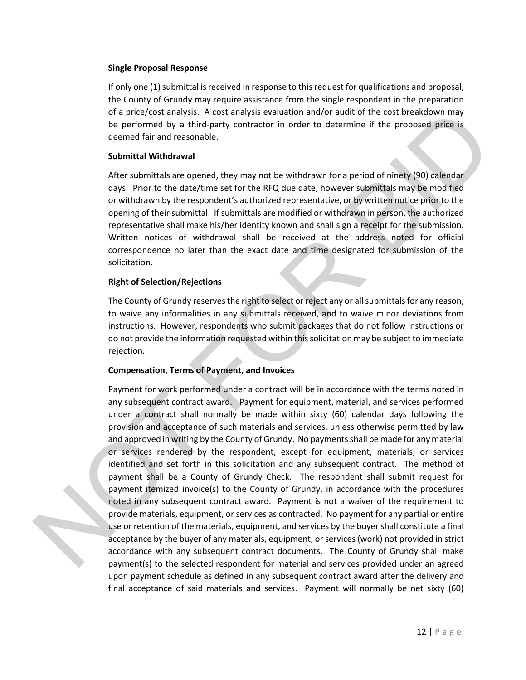#### **Single Proposal Response**

If only one (1) submittal is received in response to this request for qualifications and proposal, the County of Grundy may require assistance from the single respondent in the preparation of a price/cost analysis. A cost analysis evaluation and/or audit of the cost breakdown may be performed by a third-party contractor in order to determine if the proposed price is deemed fair and reasonable.

#### **Submittal Withdrawal**

After submittals are opened, they may not be withdrawn for a period of ninety (90) calendar days. Prior to the date/time set for the RFQ due date, however submittals may be modified or withdrawn by the respondent's authorized representative, or by written notice prior to the opening of their submittal. If submittals are modified or withdrawn in person, the authorized representative shall make his/her identity known and shall sign a receipt for the submission. Written notices of withdrawal shall be received at the address noted for official correspondence no later than the exact date and time designated for submission of the solicitation. isis. A cost analysis evaluation and/or audit of the cost breakdown may<br>third-party contractor in order to determine if the proposed price is<br>onable.<br>al<br>popened, they may not be withdrawn for a period of ninety (90) calend

#### **Right of Selection/Rejections**

The County of Grundy reserves the right to select or reject any or all submittals for any reason, to waive any informalities in any submittals received, and to waive minor deviations from instructions. However, respondents who submit packages that do not follow instructions or do not provide the information requested within this solicitation may be subject to immediate rejection.

#### **Compensation, Terms of Payment, and Invoices**

Payment for work performed under a contract will be in accordance with the terms noted in any subsequent contract award. Payment for equipment, material, and services performed under a contract shall normally be made within sixty (60) calendar days following the provision and acceptance of such materials and services, unless otherwise permitted by law and approved in writing by the County of Grundy. No payments shall be made for any material or services rendered by the respondent, except for equipment, materials, or services identified and set forth in this solicitation and any subsequent contract. The method of payment shall be a County of Grundy Check. The respondent shall submit request for payment itemized invoice(s) to the County of Grundy, in accordance with the procedures noted in any subsequent contract award. Payment is not a waiver of the requirement to provide materials, equipment, or services as contracted. No payment for any partial or entire use or retention of the materials, equipment, and services by the buyer shall constitute a final acceptance by the buyer of any materials, equipment, or services (work) not provided in strict accordance with any subsequent contract documents. The County of Grundy shall make payment(s) to the selected respondent for material and services provided under an agreed upon payment schedule as defined in any subsequent contract award after the delivery and Prayment for work performed under a contract shall normal<br>provision and acceptance of such and approved in writing by the C<br>or services rendered by the F<br>identified and set forth in this<br>payment shall be a County of<br>paymen final acceptance of said materials and services. Payment will normally be net sixty (60)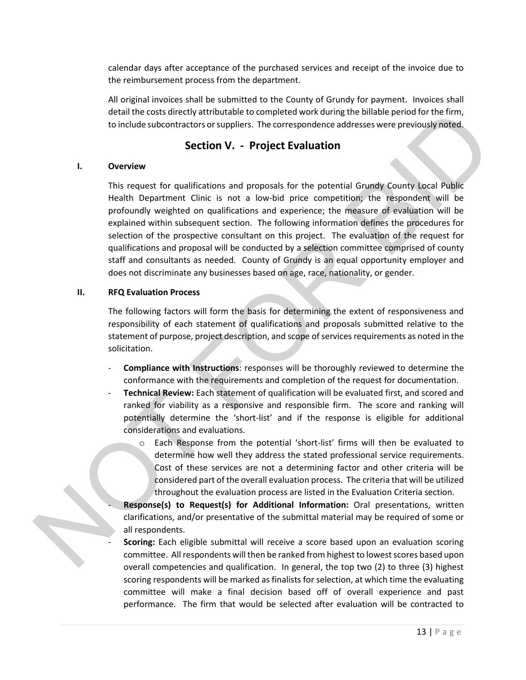calendar days after acceptance of the purchased services and receipt of the invoice due to the reimbursement process from the department.

All original invoices shall be submitted to the County of Grundy for payment. Invoices shall detail the costs directly attributable to completed work during the billable period for the firm, to include subcontractors or suppliers. The correspondence addresses were previously noted.

#### **Section V. - Project Evaluation**

#### **I. Overview**

This request for qualifications and proposals for the potential Grundy County Local Public Health Department Clinic is not a low-bid price competition; the respondent will be profoundly weighted on qualifications and experience; the measure of evaluation will be explained within subsequent section. The following information defines the procedures for selection of the prospective consultant on this project. The evaluation of the request for qualifications and proposal will be conducted by a selection committee comprised of county staff and consultants as needed. County of Grundy is an equal opportunity employer and does not discriminate any businesses based on age, race, nationality, or gender. detail the considered variable to complete a work during the biliable period to the firm<br>the constraints or suppliers. The correspondence addresses were previously indeed<br>to include subcontractor or suppliers. The correspo

#### **II. RFQ Evaluation Process**

The following factors will form the basis for determining the extent of responsiveness and responsibility of each statement of qualifications and proposals submitted relative to the statement of purpose, project description, and scope of services requirements as noted in the solicitation.

- **Compliance with Instructions**: responses will be thoroughly reviewed to determine the conformance with the requirements and completion of the request for documentation.
- **Technical Review:** Each statement of qualification will be evaluated first, and scored and ranked for viability as a responsive and responsible firm. The score and ranking will potentially determine the 'short-list' and if the response is eligible for additional considerations and evaluations.
	- Each Response from the potential 'short-list' firms will then be evaluated to determine how well they address the stated professional service requirements. Cost of these services are not a determining factor and other criteria will be considered part of the overall evaluation process. The criteria that will be utilized throughout the evaluation process are listed in the Evaluation Criteria section.

- **Response(s) to Request(s) for Additional Information:** Oral presentations, written clarifications, and/or presentative of the submittal material may be required of some or all respondents.

- **Scoring:** Each eligible submittal will receive a score based upon an evaluation scoring committee. All respondents will then be ranked from highest to lowest scores based upon overall competencies and qualification. In general, the top two (2) to three (3) highest scoring respondents will be marked as finalists for selection, at which time the evaluating committee will make a final decision based off of overall experience and past performance. The firm that would be selected after evaluation will be contracted to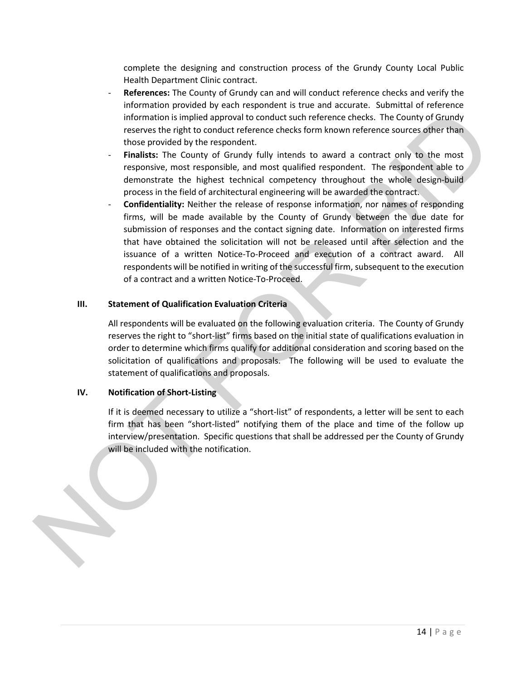complete the designing and construction process of the Grundy County Local Public Health Department Clinic contract.

- **References:** The County of Grundy can and will conduct reference checks and verify the information provided by each respondent is true and accurate. Submittal of reference information is implied approval to conduct such reference checks. The County of Grundy reserves the right to conduct reference checks form known reference sources other than those provided by the respondent.
- Finalists: The County of Grundy fully intends to award a contract only to the most responsive, most responsible, and most qualified respondent. The respondent able to demonstrate the highest technical competency throughout the whole design-build process in the field of architectural engineering will be awarded the contract.
- **Confidentiality:** Neither the release of response information, nor names of responding firms, will be made available by the County of Grundy between the due date for submission of responses and the contact signing date. Information on interested firms that have obtained the solicitation will not be released until after selection and the issuance of a written Notice-To-Proceed and execution of a contract award. All respondents will be notified in writing of the successful firm, subsequent to the execution of a contract and a written Notice-To-Proceed. information is implied a peroval as conduct such reference checks. The County of Grundy<br>
meteors the right to conduct reference checks for ference checks. The County of Grundy<br>
measures the right of Grundy of Grundy indivi

#### **III. Statement of Qualification Evaluation Criteria**

All respondents will be evaluated on the following evaluation criteria. The County of Grundy reserves the right to "short-list" firms based on the initial state of qualifications evaluation in order to determine which firms qualify for additional consideration and scoring based on the solicitation of qualifications and proposals. The following will be used to evaluate the statement of qualifications and proposals.

#### **IV. Notification of Short-Listing**

If it is deemed necessary to utilize a "short-list" of respondents, a letter will be sent to each firm that has been "short-listed" notifying them of the place and time of the follow up interview/presentation. Specific questions that shall be addressed per the County of Grundy will be included with the notification.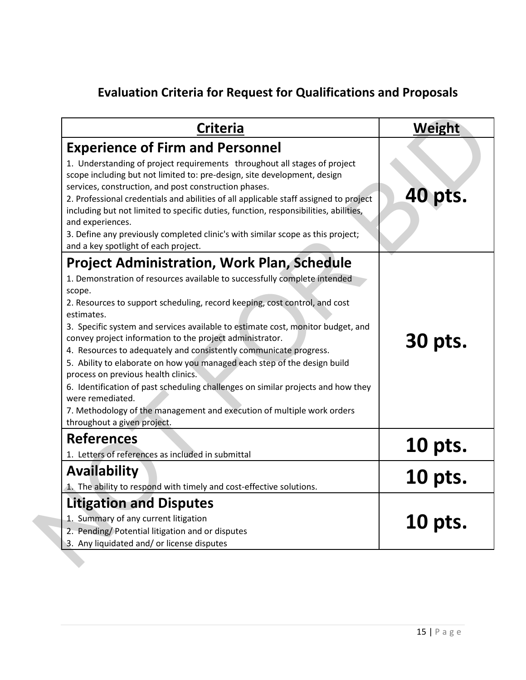# **Evaluation Criteria for Request for Qualifications and Proposals**

| <b>Criteria</b>                                                                                                                                                                                                                                                                                                                                                                                                                                                                                                                                                                                                                                                                                                                                                                               | Weight         |
|-----------------------------------------------------------------------------------------------------------------------------------------------------------------------------------------------------------------------------------------------------------------------------------------------------------------------------------------------------------------------------------------------------------------------------------------------------------------------------------------------------------------------------------------------------------------------------------------------------------------------------------------------------------------------------------------------------------------------------------------------------------------------------------------------|----------------|
| <b>Experience of Firm and Personnel</b><br>1. Understanding of project requirements throughout all stages of project<br>scope including but not limited to: pre-design, site development, design<br>services, construction, and post construction phases.<br>2. Professional credentials and abilities of all applicable staff assigned to project<br>including but not limited to specific duties, function, responsibilities, abilities,<br>and experiences.<br>3. Define any previously completed clinic's with similar scope as this project;<br>and a key spotlight of each project.                                                                                                                                                                                                     | 40 pts.        |
| <b>Project Administration, Work Plan, Schedule</b><br>1. Demonstration of resources available to successfully complete intended<br>scope.<br>2. Resources to support scheduling, record keeping, cost control, and cost<br>estimates.<br>3. Specific system and services available to estimate cost, monitor budget, and<br>convey project information to the project administrator.<br>4. Resources to adequately and consistently communicate progress.<br>5. Ability to elaborate on how you managed each step of the design build<br>process on previous health clinics.<br>6. Identification of past scheduling challenges on similar projects and how they<br>were remediated.<br>7. Methodology of the management and execution of multiple work orders<br>throughout a given project. | 30 pts.        |
| <b>References</b><br>1. Letters of references as included in submittal                                                                                                                                                                                                                                                                                                                                                                                                                                                                                                                                                                                                                                                                                                                        | <u>10 pts.</u> |
| <b>Availability</b><br>1. The ability to respond with timely and cost-effective solutions.                                                                                                                                                                                                                                                                                                                                                                                                                                                                                                                                                                                                                                                                                                    | <b>10 pts.</b> |
| <b>Litigation and Disputes</b><br>1. Summary of any current litigation<br>2. Pending/Potential litigation and or disputes<br>3. Any liquidated and/ or license disputes                                                                                                                                                                                                                                                                                                                                                                                                                                                                                                                                                                                                                       | 10 pts.        |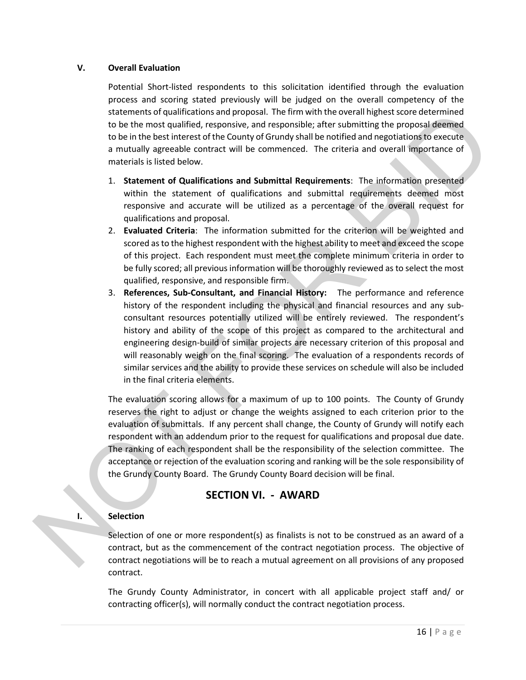#### **V. Overall Evaluation**

Potential Short-listed respondents to this solicitation identified through the evaluation process and scoring stated previously will be judged on the overall competency of the statements of qualifications and proposal. The firm with the overall highest score determined to be the most qualified, responsive, and responsible; after submitting the proposal deemed to be in the best interest of the County of Grundy shall be notified and negotiations to execute a mutually agreeable contract will be commenced. The criteria and overall importance of materials is listed below.

- 1. **Statement of Qualifications and Submittal Requirements**: The information presented within the statement of qualifications and submittal requirements deemed most responsive and accurate will be utilized as a percentage of the overall request for qualifications and proposal.
- 2. **Evaluated Criteria**: The information submitted for the criterion will be weighted and scored as to the highest respondent with the highest ability to meet and exceed the scope of this project. Each respondent must meet the complete minimum criteria in order to be fully scored; all previous information will be thoroughly reviewed as to select the most qualified, responsive, and responsible firm.
- 3. **References, Sub-Consultant, and Financial History:** The performance and reference history of the respondent including the physical and financial resources and any subconsultant resources potentially utilized will be entirely reviewed. The respondent's history and ability of the scope of this project as compared to the architectural and engineering design-build of similar projects are necessary criterion of this proposal and will reasonably weigh on the final scoring. The evaluation of a respondents records of similar services and the ability to provide these services on schedule will also be included in the final criteria elements. statements of unifications and proposal. The firm with the oweral flughers score-determined to be the most qualified, responsive, and responsible; after submitting the proposal different to be in the between the forecast o

The evaluation scoring allows for a maximum of up to 100 points. The County of Grundy reserves the right to adjust or change the weights assigned to each criterion prior to the evaluation of submittals. If any percent shall change, the County of Grundy will notify each respondent with an addendum prior to the request for qualifications and proposal due date. The ranking of each respondent shall be the responsibility of the selection committee. The acceptance or rejection of the evaluation scoring and ranking will be the sole responsibility of the Grundy County Board. The Grundy County Board decision will be final.

### **SECTION VI. - AWARD**

#### **I. Selection**

Selection of one or more respondent(s) as finalists is not to be construed as an award of a contract, but as the commencement of the contract negotiation process. The objective of contract negotiations will be to reach a mutual agreement on all provisions of any proposed contract.

The Grundy County Administrator, in concert with all applicable project staff and/ or contracting officer(s), will normally conduct the contract negotiation process.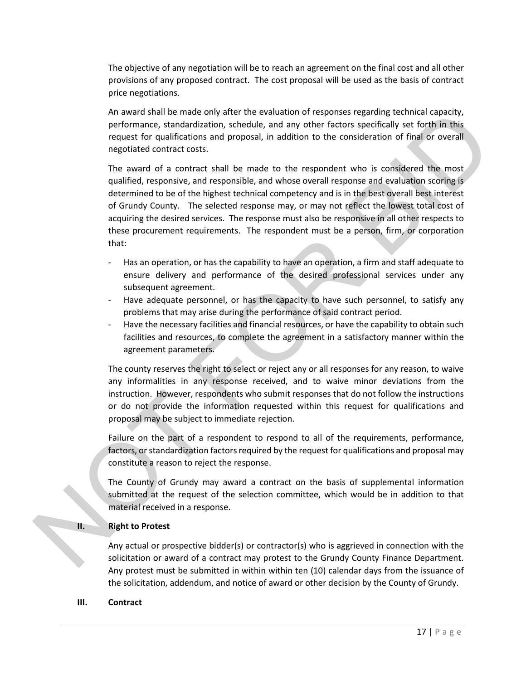The objective of any negotiation will be to reach an agreement on the final cost and all other provisions of any proposed contract. The cost proposal will be used as the basis of contract price negotiations.

An award shall be made only after the evaluation of responses regarding technical capacity, performance, standardization, schedule, and any other factors specifically set forth in this request for qualifications and proposal, in addition to the consideration of final or overall negotiated contract costs.

The award of a contract shall be made to the respondent who is considered the most qualified, responsive, and responsible, and whose overall response and evaluation scoring is determined to be of the highest technical competency and is in the best overall best interest of Grundy County. The selected response may, or may not reflect the lowest total cost of acquiring the desired services. The response must also be responsive in all other respects to these procurement requirements. The respondent must be a person, firm, or corporation that: dde only after the evaluation of responses regarding technical capacity,<br>rdization, schedule, and any other factors specifically set forth in this<br>roins and proposal, in addition to the consideration of final or overall<br>co

- Has an operation, or has the capability to have an operation, a firm and staff adequate to ensure delivery and performance of the desired professional services under any subsequent agreement.
- Have adequate personnel, or has the capacity to have such personnel, to satisfy any problems that may arise during the performance of said contract period.
- Have the necessary facilities and financial resources, or have the capability to obtain such facilities and resources, to complete the agreement in a satisfactory manner within the agreement parameters.

The county reserves the right to select or reject any or all responses for any reason, to waive any informalities in any response received, and to waive minor deviations from the instruction. However, respondents who submit responses that do not follow the instructions or do not provide the information requested within this request for qualifications and proposal may be subject to immediate rejection.

Failure on the part of a respondent to respond to all of the requirements, performance, factors, or standardization factors required by the request for qualifications and proposal may constitute a reason to reject the response. instruction. However, responde<br>or do not provide the informic<br>proposal may be subject to imm<br>Failure on the part of a respon<br>factors, or standardization facto<br>constitute a reason to reject the<br>The County of Grundy may av<br>s

The County of Grundy may award a contract on the basis of supplemental information submitted at the request of the selection committee, which would be in addition to that material received in a response.

#### **II. Right to Protest**

Any actual or prospective bidder(s) or contractor(s) who is aggrieved in connection with the solicitation or award of a contract may protest to the Grundy County Finance Department. Any protest must be submitted in within within ten (10) calendar days from the issuance of the solicitation, addendum, and notice of award or other decision by the County of Grundy.

#### **III. Contract**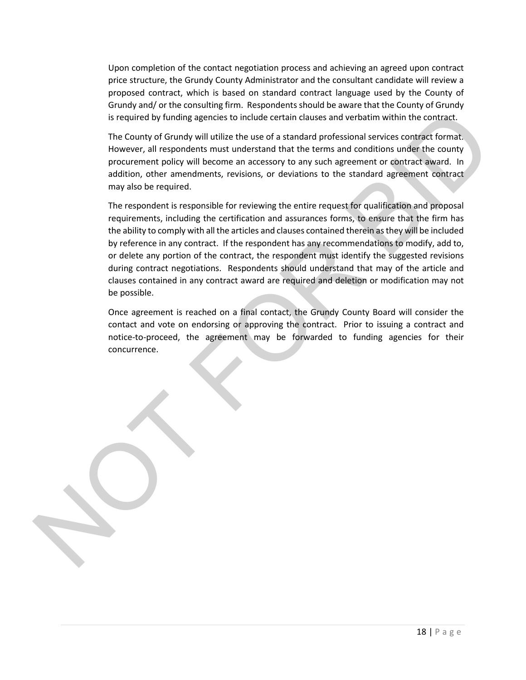Upon completion of the contact negotiation process and achieving an agreed upon contract price structure, the Grundy County Administrator and the consultant candidate will review a proposed contract, which is based on standard contract language used by the County of Grundy and/ or the consulting firm. Respondents should be aware that the County of Grundy is required by funding agencies to include certain clauses and verbatim within the contract.

The County of Grundy will utilize the use of a standard professional services contract format. However, all respondents must understand that the terms and conditions under the county procurement policy will become an accessory to any such agreement or contract award. In addition, other amendments, revisions, or deviations to the standard agreement contract may also be required.

The respondent is responsible for reviewing the entire request for qualification and proposal requirements, including the certification and assurances forms, to ensure that the firm has the ability to comply with all the articles and clauses contained therein as they will be included by reference in any contract. If the respondent has any recommendations to modify, add to, or delete any portion of the contract, the respondent must identify the suggested revisions during contract negotiations. Respondents should understand that may of the article and clauses contained in any contract award are required and deletion or modification may not be possible. is required by funcing agencies to include certain clauses and verbatim within the contract.<br>The County of Grundy will utilite the use of a standard professional services contract format.<br>However, all respondents must unde

Once agreement is reached on a final contact, the Grundy County Board will consider the contact and vote on endorsing or approving the contract. Prior to issuing a contract and notice-to-proceed, the agreement may be forwarded to funding agencies for their concurrence.